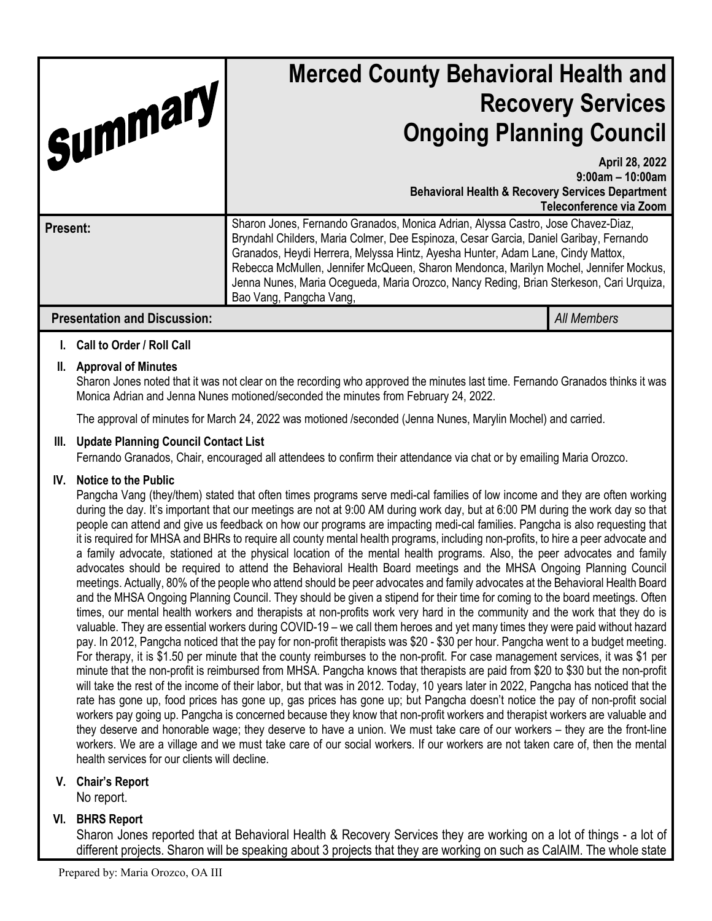| Summary,                            |                                                                                                                                                                                                                                                                                                                                                                                                                                                                                                                                                                                                                                                                                                                                                                   | <b>Merced County Behavioral Health and</b><br><b>Recovery Services</b><br><b>Ongoing Planning Council</b>                                                                                                                                                                                                                                                                                                                                                                   |                    |
|-------------------------------------|-------------------------------------------------------------------------------------------------------------------------------------------------------------------------------------------------------------------------------------------------------------------------------------------------------------------------------------------------------------------------------------------------------------------------------------------------------------------------------------------------------------------------------------------------------------------------------------------------------------------------------------------------------------------------------------------------------------------------------------------------------------------|-----------------------------------------------------------------------------------------------------------------------------------------------------------------------------------------------------------------------------------------------------------------------------------------------------------------------------------------------------------------------------------------------------------------------------------------------------------------------------|--------------------|
|                                     |                                                                                                                                                                                                                                                                                                                                                                                                                                                                                                                                                                                                                                                                                                                                                                   | April 28, 2022<br>$9:00$ am - 10:00am<br><b>Behavioral Health &amp; Recovery Services Department</b><br>Teleconference via Zoom                                                                                                                                                                                                                                                                                                                                             |                    |
| <b>Present:</b>                     |                                                                                                                                                                                                                                                                                                                                                                                                                                                                                                                                                                                                                                                                                                                                                                   | Sharon Jones, Fernando Granados, Monica Adrian, Alyssa Castro, Jose Chavez-Diaz,<br>Bryndahl Childers, Maria Colmer, Dee Espinoza, Cesar Garcia, Daniel Garibay, Fernando<br>Granados, Heydi Herrera, Melyssa Hintz, Ayesha Hunter, Adam Lane, Cindy Mattox,<br>Rebecca McMullen, Jennifer McQueen, Sharon Mendonca, Marilyn Mochel, Jennifer Mockus,<br>Jenna Nunes, Maria Ocegueda, Maria Orozco, Nancy Reding, Brian Sterkeson, Cari Urquiza,<br>Bao Vang, Pangcha Vang, |                    |
| <b>Presentation and Discussion:</b> |                                                                                                                                                                                                                                                                                                                                                                                                                                                                                                                                                                                                                                                                                                                                                                   |                                                                                                                                                                                                                                                                                                                                                                                                                                                                             | <b>All Members</b> |
| L.                                  | <b>Call to Order / Roll Call</b>                                                                                                                                                                                                                                                                                                                                                                                                                                                                                                                                                                                                                                                                                                                                  |                                                                                                                                                                                                                                                                                                                                                                                                                                                                             |                    |
|                                     | II. Approval of Minutes<br>Sharon Jones noted that it was not clear on the recording who approved the minutes last time. Fernando Granados thinks it was<br>Monica Adrian and Jenna Nunes motioned/seconded the minutes from February 24, 2022.                                                                                                                                                                                                                                                                                                                                                                                                                                                                                                                   |                                                                                                                                                                                                                                                                                                                                                                                                                                                                             |                    |
|                                     | The approval of minutes for March 24, 2022 was motioned /seconded (Jenna Nunes, Marylin Mochel) and carried.                                                                                                                                                                                                                                                                                                                                                                                                                                                                                                                                                                                                                                                      |                                                                                                                                                                                                                                                                                                                                                                                                                                                                             |                    |
| III.                                | <b>Update Planning Council Contact List</b><br>Fernando Granados, Chair, encouraged all attendees to confirm their attendance via chat or by emailing Maria Orozco.                                                                                                                                                                                                                                                                                                                                                                                                                                                                                                                                                                                               |                                                                                                                                                                                                                                                                                                                                                                                                                                                                             |                    |
| IV.                                 | <b>Notice to the Public</b><br>Pangcha Vang (they/them) stated that often times programs serve medi-cal families of low income and they are often working<br>during the day. It's important that our meetings are not at 9:00 AM during work day, but at 6:00 PM during the work day so that<br>people can attend and give us feedback on how our programs are impacting medi-cal families. Pangcha is also requesting that<br>$\mathbf{r}$ $\mathbf{r}$ $\mathbf{r}$ $\mathbf{r}$ $\mathbf{r}$ $\mathbf{r}$ $\mathbf{r}$ $\mathbf{r}$ $\mathbf{r}$ $\mathbf{r}$ $\mathbf{r}$ $\mathbf{r}$ $\mathbf{r}$ $\mathbf{r}$ $\mathbf{r}$ $\mathbf{r}$ $\mathbf{r}$ $\mathbf{r}$ $\mathbf{r}$ $\mathbf{r}$ $\mathbf{r}$ $\mathbf{r}$ $\mathbf{r}$ $\mathbf{r}$ $\mathbf{$ |                                                                                                                                                                                                                                                                                                                                                                                                                                                                             |                    |

it is required for MHSA and BHRs to require all county mental health programs, including non-profits, to hire a peer advocate and a family advocate, stationed at the physical location of the mental health programs. Also, the peer advocates and family advocates should be required to attend the Behavioral Health Board meetings and the MHSA Ongoing Planning Council meetings. Actually, 80% of the people who attend should be peer advocates and family advocates at the Behavioral Health Board and the MHSA Ongoing Planning Council. They should be given a stipend for their time for coming to the board meetings. Often times, our mental health workers and therapists at non-profits work very hard in the community and the work that they do is valuable. They are essential workers during COVID-19 – we call them heroes and yet many times they were paid without hazard pay. In 2012, Pangcha noticed that the pay for non-profit therapists was \$20 - \$30 per hour. Pangcha went to a budget meeting. For therapy, it is \$1.50 per minute that the county reimburses to the non-profit. For case management services, it was \$1 per minute that the non-profit is reimbursed from MHSA. Pangcha knows that therapists are paid from \$20 to \$30 but the non-profit will take the rest of the income of their labor, but that was in 2012. Today, 10 years later in 2022, Pangcha has noticed that the rate has gone up, food prices has gone up, gas prices has gone up; but Pangcha doesn't notice the pay of non-profit social workers pay going up. Pangcha is concerned because they know that non-profit workers and therapist workers are valuable and they deserve and honorable wage; they deserve to have a union. We must take care of our workers – they are the front-line workers. We are a village and we must take care of our social workers. If our workers are not taken care of, then the mental health services for our clients will decline.

## **V. Chair's Report**

No report.

# **VI. BHRS Report**

Sharon Jones reported that at Behavioral Health & Recovery Services they are working on a lot of things - a lot of different projects. Sharon will be speaking about 3 projects that they are working on such as CalAIM. The whole state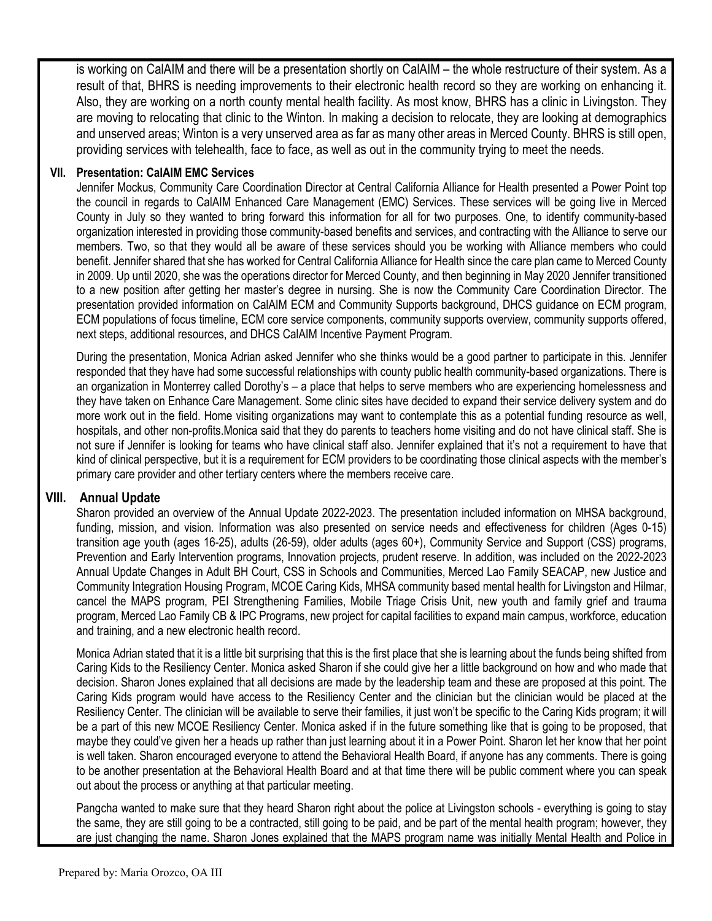is working on CalAIM and there will be a presentation shortly on CalAIM – the whole restructure of their system. As a result of that, BHRS is needing improvements to their electronic health record so they are working on enhancing it. Also, they are working on a north county mental health facility. As most know, BHRS has a clinic in Livingston. They are moving to relocating that clinic to the Winton. In making a decision to relocate, they are looking at demographics and unserved areas; Winton is a very unserved area as far as many other areas in Merced County. BHRS is still open, providing services with telehealth, face to face, as well as out in the community trying to meet the needs.

#### **VII. Presentation: CalAIM EMC Services**

Jennifer Mockus, Community Care Coordination Director at Central California Alliance for Health presented a Power Point top the council in regards to CalAIM Enhanced Care Management (EMC) Services. These services will be going live in Merced County in July so they wanted to bring forward this information for all for two purposes. One, to identify community-based organization interested in providing those community-based benefits and services, and contracting with the Alliance to serve our members. Two, so that they would all be aware of these services should you be working with Alliance members who could benefit. Jennifer shared that she has worked for Central California Alliance for Health since the care plan came to Merced County in 2009. Up until 2020, she was the operations director for Merced County, and then beginning in May 2020 Jennifer transitioned to a new position after getting her master's degree in nursing. She is now the Community Care Coordination Director. The presentation provided information on CalAIM ECM and Community Supports background, DHCS guidance on ECM program, ECM populations of focus timeline, ECM core service components, community supports overview, community supports offered, next steps, additional resources, and DHCS CalAIM Incentive Payment Program.

During the presentation, Monica Adrian asked Jennifer who she thinks would be a good partner to participate in this. Jennifer responded that they have had some successful relationships with county public health community-based organizations. There is an organization in Monterrey called Dorothy's – a place that helps to serve members who are experiencing homelessness and they have taken on Enhance Care Management. Some clinic sites have decided to expand their service delivery system and do more work out in the field. Home visiting organizations may want to contemplate this as a potential funding resource as well, hospitals, and other non-profits.Monica said that they do parents to teachers home visiting and do not have clinical staff. She is not sure if Jennifer is looking for teams who have clinical staff also. Jennifer explained that it's not a requirement to have that kind of clinical perspective, but it is a requirement for ECM providers to be coordinating those clinical aspects with the member's primary care provider and other tertiary centers where the members receive care.

#### **VIII. Annual Update**

Sharon provided an overview of the Annual Update 2022-2023. The presentation included information on MHSA background, funding, mission, and vision. Information was also presented on service needs and effectiveness for children (Ages 0-15) transition age youth (ages 16-25), adults (26-59), older adults (ages 60+), Community Service and Support (CSS) programs, Prevention and Early Intervention programs, Innovation projects, prudent reserve. In addition, was included on the 2022-2023 Annual Update Changes in Adult BH Court, CSS in Schools and Communities, Merced Lao Family SEACAP, new Justice and Community Integration Housing Program, MCOE Caring Kids, MHSA community based mental health for Livingston and Hilmar, cancel the MAPS program, PEI Strengthening Families, Mobile Triage Crisis Unit, new youth and family grief and trauma program, Merced Lao Family CB & IPC Programs, new project for capital facilities to expand main campus, workforce, education and training, and a new electronic health record.

Monica Adrian stated that it is a little bit surprising that this is the first place that she is learning about the funds being shifted from Caring Kids to the Resiliency Center. Monica asked Sharon if she could give her a little background on how and who made that decision. Sharon Jones explained that all decisions are made by the leadership team and these are proposed at this point. The Caring Kids program would have access to the Resiliency Center and the clinician but the clinician would be placed at the Resiliency Center. The clinician will be available to serve their families, it just won't be specific to the Caring Kids program; it will be a part of this new MCOE Resiliency Center. Monica asked if in the future something like that is going to be proposed, that maybe they could've given her a heads up rather than just learning about it in a Power Point. Sharon let her know that her point is well taken. Sharon encouraged everyone to attend the Behavioral Health Board, if anyone has any comments. There is going to be another presentation at the Behavioral Health Board and at that time there will be public comment where you can speak out about the process or anything at that particular meeting.

Pangcha wanted to make sure that they heard Sharon right about the police at Livingston schools - everything is going to stay the same, they are still going to be a contracted, still going to be paid, and be part of the mental health program; however, they are just changing the name. Sharon Jones explained that the MAPS program name was initially Mental Health and Police in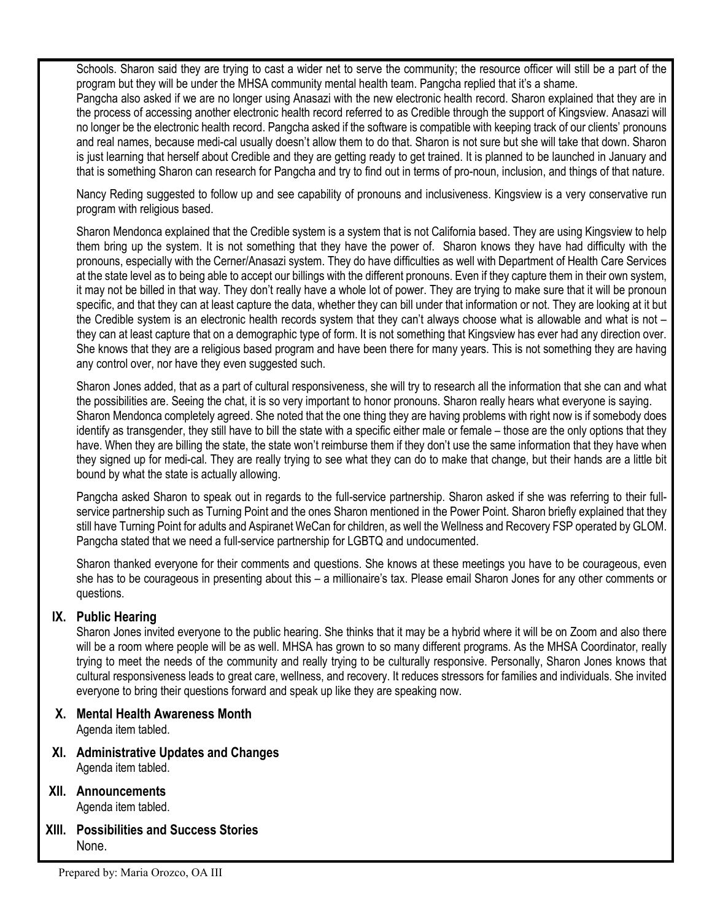Schools. Sharon said they are trying to cast a wider net to serve the community; the resource officer will still be a part of the program but they will be under the MHSA community mental health team. Pangcha replied that it's a shame.

Pangcha also asked if we are no longer using Anasazi with the new electronic health record. Sharon explained that they are in the process of accessing another electronic health record referred to as Credible through the support of Kingsview. Anasazi will no longer be the electronic health record. Pangcha asked if the software is compatible with keeping track of our clients' pronouns and real names, because medi-cal usually doesn't allow them to do that. Sharon is not sure but she will take that down. Sharon is just learning that herself about Credible and they are getting ready to get trained. It is planned to be launched in January and that is something Sharon can research for Pangcha and try to find out in terms of pro-noun, inclusion, and things of that nature.

Nancy Reding suggested to follow up and see capability of pronouns and inclusiveness. Kingsview is a very conservative run program with religious based.

Sharon Mendonca explained that the Credible system is a system that is not California based. They are using Kingsview to help them bring up the system. It is not something that they have the power of. Sharon knows they have had difficulty with the pronouns, especially with the Cerner/Anasazi system. They do have difficulties as well with Department of Health Care Services at the state level as to being able to accept our billings with the different pronouns. Even if they capture them in their own system, it may not be billed in that way. They don't really have a whole lot of power. They are trying to make sure that it will be pronoun specific, and that they can at least capture the data, whether they can bill under that information or not. They are looking at it but the Credible system is an electronic health records system that they can't always choose what is allowable and what is not – they can at least capture that on a demographic type of form. It is not something that Kingsview has ever had any direction over. She knows that they are a religious based program and have been there for many years. This is not something they are having any control over, nor have they even suggested such.

Sharon Jones added, that as a part of cultural responsiveness, she will try to research all the information that she can and what the possibilities are. Seeing the chat, it is so very important to honor pronouns. Sharon really hears what everyone is saying. Sharon Mendonca completely agreed. She noted that the one thing they are having problems with right now is if somebody does identify as transgender, they still have to bill the state with a specific either male or female – those are the only options that they have. When they are billing the state, the state won't reimburse them if they don't use the same information that they have when they signed up for medi-cal. They are really trying to see what they can do to make that change, but their hands are a little bit bound by what the state is actually allowing.

Pangcha asked Sharon to speak out in regards to the full-service partnership. Sharon asked if she was referring to their fullservice partnership such as Turning Point and the ones Sharon mentioned in the Power Point. Sharon briefly explained that they still have Turning Point for adults and Aspiranet WeCan for children, as well the Wellness and Recovery FSP operated by GLOM. Pangcha stated that we need a full-service partnership for LGBTQ and undocumented.

Sharon thanked everyone for their comments and questions. She knows at these meetings you have to be courageous, even she has to be courageous in presenting about this – a millionaire's tax. Please email Sharon Jones for any other comments or questions.

## **IX. Public Hearing**

Sharon Jones invited everyone to the public hearing. She thinks that it may be a hybrid where it will be on Zoom and also there will be a room where people will be as well. MHSA has grown to so many different programs. As the MHSA Coordinator, really trying to meet the needs of the community and really trying to be culturally responsive. Personally, Sharon Jones knows that cultural responsiveness leads to great care, wellness, and recovery. It reduces stressors for families and individuals. She invited everyone to bring their questions forward and speak up like they are speaking now.

**X. Mental Health Awareness Month**

Agenda item tabled.

- **XI. Administrative Updates and Changes** Agenda item tabled.
- **XII. Announcements** Agenda item tabled.
- **XIII. Possibilities and Success Stories** None.